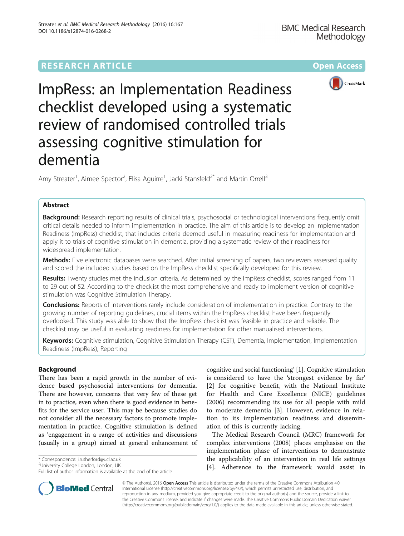# **RESEARCH ARTICLE Example 2014 12:30 The Company Access** (RESEARCH ARTICLE



ImpRess: an Implementation Readiness checklist developed using a systematic review of randomised controlled trials assessing cognitive stimulation for dementia

Amy Streater<sup>1</sup>, Aimee Spector<sup>2</sup>, Elisa Aguirre<sup>1</sup>, Jacki Stansfeld<sup>2\*</sup> and Martin Orrell<sup>3</sup>

# Abstract

Background: Research reporting results of clinical trials, psychosocial or technological interventions frequently omit critical details needed to inform implementation in practice. The aim of this article is to develop an Implementation Readiness (ImpRess) checklist, that includes criteria deemed useful in measuring readiness for implementation and apply it to trials of cognitive stimulation in dementia, providing a systematic review of their readiness for widespread implementation.

Methods: Five electronic databases were searched. After initial screening of papers, two reviewers assessed quality and scored the included studies based on the ImpRess checklist specifically developed for this review.

Results: Twenty studies met the inclusion criteria. As determined by the ImpRess checklist, scores ranged from 11 to 29 out of 52. According to the checklist the most comprehensive and ready to implement version of cognitive stimulation was Cognitive Stimulation Therapy.

Conclusions: Reports of interventions rarely include consideration of implementation in practice. Contrary to the growing number of reporting guidelines, crucial items within the ImpRess checklist have been frequently overlooked. This study was able to show that the ImpRess checklist was feasible in practice and reliable. The checklist may be useful in evaluating readiness for implementation for other manualised interventions.

Keywords: Cognitive stimulation, Cognitive Stimulation Therapy (CST), Dementia, Implementation, Implementation Readiness (ImpRess), Reporting

# Background

There has been a rapid growth in the number of evidence based psychosocial interventions for dementia. There are however, concerns that very few of these get in to practice, even when there is good evidence in benefits for the service user. This may be because studies do not consider all the necessary factors to promote implementation in practice. Cognitive stimulation is defined as 'engagement in a range of activities and discussions (usually in a group) aimed at general enhancement of

\* Correspondence: [j.rutherford@ucl.ac.uk](mailto:j.rutherford@ucl.ac.uk) <sup>2</sup>

<sup>2</sup>University College London, London, UK

Full list of author information is available at the end of the article

cognitive and social functioning' [[1](#page-8-0)]. Cognitive stimulation is considered to have the 'strongest evidence by far' [[2\]](#page-8-0) for cognitive benefit, with the National Institute for Health and Care Excellence (NICE) guidelines (2006) recommending its use for all people with mild to moderate dementia [[3\]](#page-8-0). However, evidence in relation to its implementation readiness and dissemination of this is currently lacking.

The Medical Research Council (MRC) framework for complex interventions (2008) places emphasise on the implementation phase of interventions to demonstrate the applicability of an intervention in real life settings [[4\]](#page-8-0). Adherence to the framework would assist in



© The Author(s). 2016 Open Access This article is distributed under the terms of the Creative Commons Attribution 4.0 International License [\(http://creativecommons.org/licenses/by/4.0/](http://creativecommons.org/licenses/by/4.0/)), which permits unrestricted use, distribution, and reproduction in any medium, provided you give appropriate credit to the original author(s) and the source, provide a link to the Creative Commons license, and indicate if changes were made. The Creative Commons Public Domain Dedication waiver [\(http://creativecommons.org/publicdomain/zero/1.0/](http://creativecommons.org/publicdomain/zero/1.0/)) applies to the data made available in this article, unless otherwise stated.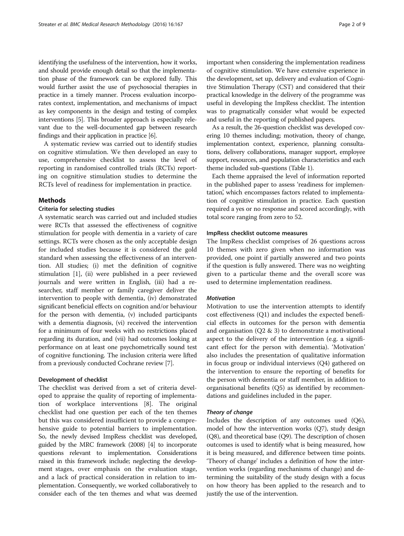identifying the usefulness of the intervention, how it works, and should provide enough detail so that the implementation phase of the framework can be explored fully. This would further assist the use of psychosocial therapies in practice in a timely manner. Process evaluation incorporates context, implementation, and mechanisms of impact as key components in the design and testing of complex interventions [\[5\]](#page-8-0). This broader approach is especially relevant due to the well-documented gap between research findings and their application in practice [\[6\]](#page-8-0).

A systematic review was carried out to identify studies on cognitive stimulation. We then developed an easy to use, comprehensive checklist to assess the level of reporting in randomised controlled trials (RCTs) reporting on cognitive stimulation studies to determine the RCTs level of readiness for implementation in practice.

### Methods

### Criteria for selecting studies

A systematic search was carried out and included studies were RCTs that assessed the effectiveness of cognitive stimulation for people with dementia in a variety of care settings. RCTs were chosen as the only acceptable design for included studies because it is considered the gold standard when assessing the effectiveness of an intervention. All studies; (i) met the definition of cognitive stimulation [[1\]](#page-8-0), (ii) were published in a peer reviewed journals and were written in English, (iii) had a researcher, staff member or family caregiver deliver the intervention to people with dementia, (iv) demonstrated significant beneficial effects on cognition and/or behaviour for the person with dementia, (v) included participants with a dementia diagnosis, (vi) received the intervention for a minimum of four weeks with no restrictions placed regarding its duration, and (vii) had outcomes looking at performance on at least one psychometrically sound test of cognitive functioning. The inclusion criteria were lifted from a previously conducted Cochrane review [[7](#page-8-0)].

### Development of checklist

The checklist was derived from a set of criteria developed to appraise the quality of reporting of implementation of workplace interventions [\[8](#page-8-0)]. The original checklist had one question per each of the ten themes but this was considered insufficient to provide a comprehensive guide to potential barriers to implementation. So, the newly devised ImpRess checklist was developed, guided by the MRC framework (2008) [\[4\]](#page-8-0) to incorporate questions relevant to implementation. Considerations raised in this framework include; neglecting the development stages, over emphasis on the evaluation stage, and a lack of practical consideration in relation to implementation. Consequently, we worked collaboratively to consider each of the ten themes and what was deemed important when considering the implementation readiness of cognitive stimulation. We have extensive experience in the development, set up, delivery and evaluation of Cognitive Stimulation Therapy (CST) and considered that their practical knowledge in the delivery of the programme was useful in developing the ImpRess checklist. The intention was to pragmatically consider what would be expected and useful in the reporting of published papers.

As a result, the 26-question checklist was developed covering 10 themes including; motivation, theory of change, implementation context, experience, planning consultations, delivery collaborations, manager support, employee support, resources, and population characteristics and each theme included sub-questions (Table [1\)](#page-2-0).

Each theme appraised the level of information reported in the published paper to assess 'readiness for implementation', which encompasses factors related to implementation of cognitive stimulation in practice. Each question required a yes or no response and scored accordingly, with total score ranging from zero to 52.

### ImpRess checklist outcome measures

The ImpRess checklist comprises of 26 questions across 10 themes with zero given when no information was provided, one point if partially answered and two points if the question is fully answered. There was no weighting given to a particular theme and the overall score was used to determine implementation readiness.

#### **Motivation**

Motivation Motivation to use the intervention attempts to identify cost effectiveness (Q1) and includes the expected beneficial effects in outcomes for the person with dementia and organisation (Q2 & 3) to demonstrate a motivational aspect to the delivery of the intervention (e.g. a significant effect for the person with dementia). 'Motivation' also includes the presentation of qualitative information in focus group or individual interviews (Q4) gathered on the intervention to ensure the reporting of benefits for the person with dementia or staff member, in addition to organisational benefits (Q5) as identified by recommendations and guidelines included in the paper.

Includes the description of any outcomes used (Q6), model of how the intervention works (Q7), study design (Q8), and theoretical base (Q9). The description of chosen outcomes is used to identify what is being measured, how it is being measured, and difference between time points. 'Theory of change' includes a definition of how the intervention works (regarding mechanisms of change) and determining the suitability of the study design with a focus on how theory has been applied to the research and to justify the use of the intervention.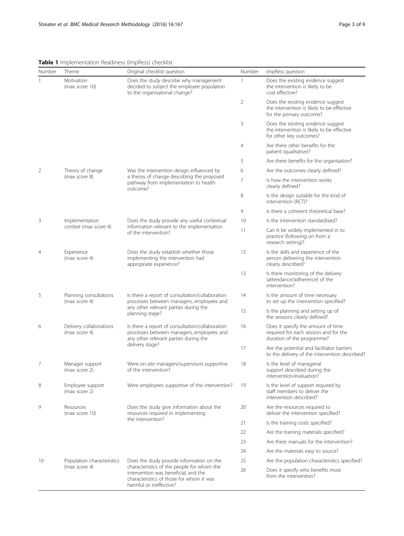# <span id="page-2-0"></span>Table 1 Implementation Readiness (ImpRess) checklist

| Number | Theme                                    | Original checklist question                                                                                                                               | Number         | ImpRess question                                                                                             |
|--------|------------------------------------------|-----------------------------------------------------------------------------------------------------------------------------------------------------------|----------------|--------------------------------------------------------------------------------------------------------------|
|        | Motivation<br>(max score 10)             | Does the study describe why management<br>decided to subject the employee population<br>to the organisational change?                                     | 1              | Does the existing evidence suggest<br>the intervention is likely to be<br>cost effective?                    |
|        |                                          |                                                                                                                                                           | $\overline{2}$ | Does the existing evidence suggest<br>the intervention is likely to be effective<br>for the primary outcome? |
|        |                                          |                                                                                                                                                           | 3              | Does the existing evidence suggest<br>the intervention is likely to be effective<br>for other key outcomes?  |
|        |                                          |                                                                                                                                                           | 4              | Are there other benefits for the<br>patient (qualitative)?                                                   |
|        |                                          |                                                                                                                                                           | 5              | Are there benefits for the organisation?                                                                     |
| 2      | Theory of change<br>(max score 8)        | Was the intervention design influenced by                                                                                                                 | 6              | Are the outcomes clearly defined?                                                                            |
|        |                                          | a theory of change describing the proposed<br>pathway from implementation to health<br>outcome?                                                           | 7              | Is how the intervention works<br>clearly defined?                                                            |
|        |                                          |                                                                                                                                                           | 8              | Is the design suitable for the kind of<br>intervention (RCT)?                                                |
|        |                                          |                                                                                                                                                           | 9              | Is there a coherent theoretical base?                                                                        |
| 3      | Implementation                           | Does the study provide any useful contextual                                                                                                              | 10             | Is the intervention standardised?                                                                            |
|        | context (max score 4)                    | information relevant to the implementation<br>of the intervention?                                                                                        | 11             | Can it be widely implemented in to<br>practice (following on from a<br>research setting)?                    |
| 4      | Experience<br>(max score 4)              | Does the study establish whether those<br>implementing the intervention had<br>appropriate experience?                                                    | 12             | Is the skills and experience of the<br>person delivering the intervention<br>clearly described?              |
|        |                                          |                                                                                                                                                           | 13             | Is there monitoring of the delivery<br>(attendance/adherence) of the<br>intervention?                        |
| 5      | Planning consultations<br>(max score 4)  | Is there a report of consultation/collaboration<br>processes between managers, employees and                                                              | 14             | Is the amount of time necessary<br>to set up the intervention specified?                                     |
|        |                                          | any other relevant parties during the<br>planning stage?                                                                                                  | 15             | Is the planning and setting up of<br>the sessions clearly defined?                                           |
| 6      | Delivery collaborations<br>(max score 4) | Is there a report of consultation/collaboration<br>processes between managers, employees and<br>any other relevant parties during the                     | 16             | Does it specify the amount of time<br>required for each session and for the<br>duration of the programme?    |
|        |                                          | delivery stage?                                                                                                                                           | 17             | Are the potential and facilitator barriers<br>to the delivery of the intervention described?                 |
| 7      | Manager support<br>(max score 2)         | Were on-site managers/supervisors supportive<br>of the intervention?                                                                                      | 18             | Is the level of managerial<br>support described during the<br>intervention/evaluation?                       |
| 8      | Employee support<br>(max score 2)        | Were employees supportive of the intervention?                                                                                                            | 19             | Is the level of support required by<br>staff members to deliver the<br>intervention described?               |
| 9      | Resources<br>(max score 10)              | Does the study give information about the<br>resources required in implementing                                                                           | 20             | Are the resources required to<br>deliver the intervention specified?                                         |
|        |                                          | the intervention?                                                                                                                                         | 21             | Is the training costs specified?                                                                             |
|        |                                          |                                                                                                                                                           | 22             | Are the training materials specified?                                                                        |
|        |                                          |                                                                                                                                                           | 23             | Are there manuals for the intervention?                                                                      |
|        |                                          |                                                                                                                                                           | 24             | Are the materials easy to source?                                                                            |
| 10     | Population characteristics               | Does the study provide information on the                                                                                                                 | 25             | Are the population characteristics specified?                                                                |
|        | (max score 4)                            | characteristics of the people for whom the<br>intervention was beneficial, and the<br>characteristics of those for whom it was<br>harmful or ineffective? | 26             | Does it specify who benefits most<br>from the intervention?                                                  |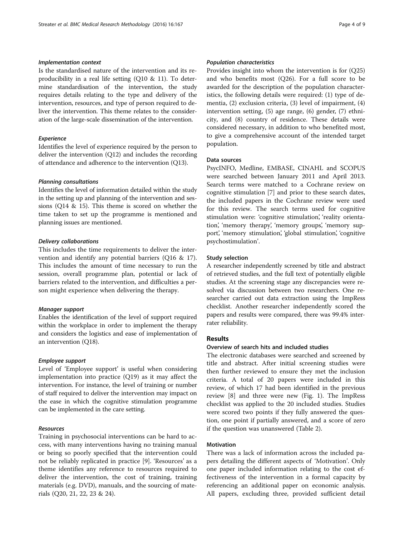Is the standardised nature of the intervention and its reproducibility in a real life setting (Q10 & 11). To determine standardisation of the intervention, the study requires details relating to the type and delivery of the intervention, resources, and type of person required to deliver the intervention. This theme relates to the consideration of the large-scale dissemination of the intervention.

Identifies the level of experience required by the person to deliver the intervention (Q12) and includes the recording of attendance and adherence to the intervention (Q13).

Identifies the level of information detailed within the study in the setting up and planning of the intervention and sessions (Q14 & 15). This theme is scored on whether the time taken to set up the programme is mentioned and planning issues are mentioned.

This includes the time requirements to deliver the intervention and identify any potential barriers (Q16 & 17). This includes the amount of time necessary to run the session, overall programme plan, potential or lack of barriers related to the intervention, and difficulties a person might experience when delivering the therapy.

Enables the identification of the level of support required within the workplace in order to implement the therapy and considers the logistics and ease of implementation of an intervention (Q18).

Employee support Level of 'Employee support' is useful when considering implementation into practice (Q19) as it may affect the intervention. For instance, the level of training or number of staff required to deliver the intervention may impact on the ease in which the cognitive stimulation programme can be implemented in the care setting.

Training in psychosocial interventions can be hard to access, with many interventions having no training manual or being so poorly specified that the intervention could not be reliably replicated in practice [\[9](#page-8-0)]. 'Resources' as a theme identifies any reference to resources required to deliver the intervention, the cost of training, training materials (e.g. DVD), manuals, and the sourcing of materials (Q20, 21, 22, 23 & 24).

Provides insight into whom the intervention is for  $(Q25)$ and who benefits most (Q26). For a full score to be awarded for the description of the population characteristics, the following details were required: (1) type of dementia, (2) exclusion criteria, (3) level of impairment, (4) intervention setting, (5) age range, (6) gender, (7) ethnicity, and (8) country of residence. These details were considered necessary, in addition to who benefited most, to give a comprehensive account of the intended target population.

### Data sources

PsycINFO, Medline, EMBASE, CINAHL and SCOPUS were searched between January 2011 and April 2013. Search terms were matched to a Cochrane review on cognitive stimulation [\[7](#page-8-0)] and prior to these search dates, the included papers in the Cochrane review were used for this review. The search terms used for cognitive stimulation were: 'cognitive stimulation', 'reality orientation', 'memory therapy', 'memory groups', 'memory support', 'memory stimulation', 'global stimulation', 'cognitive psychostimulation'.

#### Study selection

A researcher independently screened by title and abstract of retrieved studies, and the full text of potentially eligible studies. At the screening stage any discrepancies were resolved via discussion between two researchers. One researcher carried out data extraction using the ImpRess checklist. Another researcher independently scored the papers and results were compared, there was 99.4% interrater reliability.

### **Results**

# Overview of search hits and included studies

The electronic databases were searched and screened by title and abstract. After initial screening studies were then further reviewed to ensure they met the inclusion criteria. A total of 20 papers were included in this review, of which 17 had been identified in the previous review [\[8](#page-8-0)] and three were new (Fig. [1](#page-4-0)). The ImpRess checklist was applied to the 20 included studies. Studies were scored two points if they fully answered the question, one point if partially answered, and a score of zero if the question was unanswered (Table [2\)](#page-5-0).

### **Motivation**

There was a lack of information across the included papers detailing the different aspects of 'Motivation'. Only one paper included information relating to the cost effectiveness of the intervention in a formal capacity by referencing an additional paper on economic analysis. All papers, excluding three, provided sufficient detail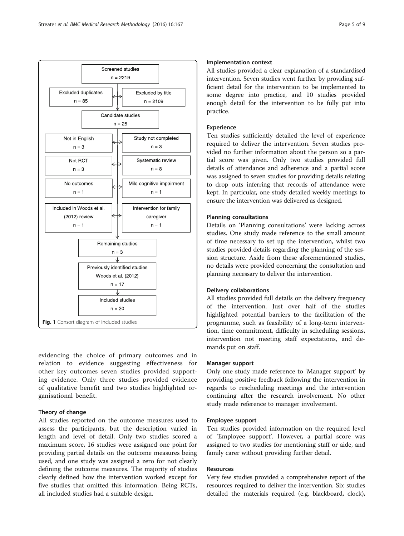<span id="page-4-0"></span>

evidencing the choice of primary outcomes and in relation to evidence suggesting effectiveness for other key outcomes seven studies provided supporting evidence. Only three studies provided evidence of qualitative benefit and two studies highlighted organisational benefit.

# Theory of change

All studies reported on the outcome measures used to assess the participants, but the description varied in length and level of detail. Only two studies scored a maximum score, 16 studies were assigned one point for providing partial details on the outcome measures being used, and one study was assigned a zero for not clearly defining the outcome measures. The majority of studies clearly defined how the intervention worked except for five studies that omitted this information. Being RCTs, all included studies had a suitable design.

# Implementation context

All studies provided a clear explanation of a standardised intervention. Seven studies went further by providing sufficient detail for the intervention to be implemented to some degree into practice, and 10 studies provided enough detail for the intervention to be fully put into practice.

## Experience

Ten studies sufficiently detailed the level of experience required to deliver the intervention. Seven studies provided no further information about the person so a partial score was given. Only two studies provided full details of attendance and adherence and a partial score was assigned to seven studies for providing details relating to drop outs inferring that records of attendance were kept. In particular, one study detailed weekly meetings to ensure the intervention was delivered as designed.

### Planning consultations

Details on 'Planning consultations' were lacking across studies. One study made reference to the small amount of time necessary to set up the intervention, whilst two studies provided details regarding the planning of the session structure. Aside from these aforementioned studies, no details were provided concerning the consultation and planning necessary to deliver the intervention.

## Delivery collaborations

All studies provided full details on the delivery frequency of the intervention. Just over half of the studies highlighted potential barriers to the facilitation of the programme, such as feasibility of a long-term intervention, time commitment, difficulty in scheduling sessions, intervention not meeting staff expectations, and demands put on staff.

### Manager support

Only one study made reference to 'Manager support' by providing positive feedback following the intervention in regards to rescheduling meetings and the intervention continuing after the research involvement. No other study made reference to manager involvement.

# Employee support

Ten studies provided information on the required level of 'Employee support'. However, a partial score was assigned to two studies for mentioning staff or aide, and family carer without providing further detail.

## Resources

Very few studies provided a comprehensive report of the resources required to deliver the intervention. Six studies detailed the materials required (e.g. blackboard, clock),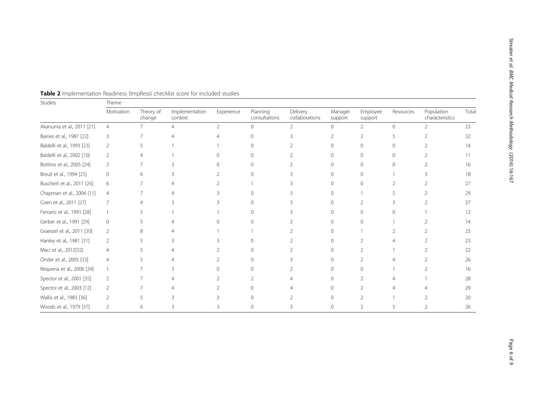| Studies                    | Theme          |                     |                           |                |                           |                            |                    |                     |              |                               |       |  |
|----------------------------|----------------|---------------------|---------------------------|----------------|---------------------------|----------------------------|--------------------|---------------------|--------------|-------------------------------|-------|--|
|                            | Motivation     | Theory of<br>change | Implementation<br>context | Experience     | Planning<br>consultations | Delivery<br>collaborations | Manager<br>support | Employee<br>support | Resources    | Population<br>characteristics | Total |  |
| Akanuma et al., 2011 [21]  | $\overline{4}$ | 7                   | $\overline{4}$            | $\overline{2}$ | $\circ$                   | $\overline{2}$             | $\Omega$           | $\overline{2}$      | $\mathbf{0}$ | $\overline{2}$                | 23    |  |
| Baines et al., 1987 [22]   | 3              |                     |                           |                | ∩                         |                            |                    |                     |              |                               | 32    |  |
| Baldelli et al., 1993 [23] | 2              |                     |                           |                |                           |                            |                    | $\cap$              | ∩            |                               | 14    |  |
| Baldelli et al., 2002 [10] | 2              | 4                   |                           |                | ∩                         |                            |                    | $\Omega$            | 0            |                               | 11    |  |
| Bottino et al., 2005 [24]  | 2              |                     |                           |                |                           |                            |                    | $\cap$              | 0            |                               | 16    |  |
| Breuil et al., 1994 [25]   | $\Omega$       | 6                   |                           |                |                           |                            |                    |                     |              |                               | 18    |  |
| Buschert et al., 2011 [26] | 6              |                     |                           |                |                           |                            |                    | ∩                   |              |                               | 27    |  |
| Chapman et al., 2004 [11]  | $\overline{4}$ |                     |                           |                |                           |                            |                    |                     |              |                               | 29    |  |
| Coen et al., 2011 [27]     | 7              | $\overline{4}$      |                           |                |                           |                            |                    |                     |              |                               | 27    |  |
| Ferrario et al., 1991 [28] |                |                     |                           |                |                           |                            |                    | $\Omega$            | 0            |                               | 12    |  |
| Gerber et al., 1991 [29]   | $\circ$        | 5                   |                           |                |                           |                            |                    | ∩                   |              |                               | 14    |  |
| Graessel et al., 2011 [30] | 2              | 8                   |                           |                |                           |                            |                    |                     |              |                               | 23    |  |
| Hanley et al., 1981 [31]   | 2              | 5                   |                           |                | ∩                         |                            |                    | 2                   |              |                               | 23    |  |
| Maci et al., 2012[32]      |                |                     |                           |                |                           |                            |                    |                     |              |                               | 22    |  |
| Onder et al., 2005 [33]    | $\overline{4}$ |                     |                           |                |                           |                            |                    |                     |              |                               | 26    |  |
| Requena et al., 2006 [34]  |                |                     |                           |                |                           |                            |                    | ∩                   |              |                               | 16    |  |
| Spector et al., 2001 [35]  | 2              |                     |                           |                |                           |                            |                    |                     |              |                               | 28    |  |
| Spector et al., 2003 [12]  | 2              |                     |                           |                |                           |                            |                    |                     |              |                               | 29    |  |
| Wallis et al., 1983 [36]   |                |                     |                           |                |                           |                            |                    |                     |              |                               | 20    |  |
| Woods et al., 1979 [37]    | $\mathcal{P}$  |                     |                           |                |                           |                            |                    |                     |              |                               | 26    |  |

<span id="page-5-0"></span>Table 2 Implementation Readiness (ImpRess) checklist score for included studies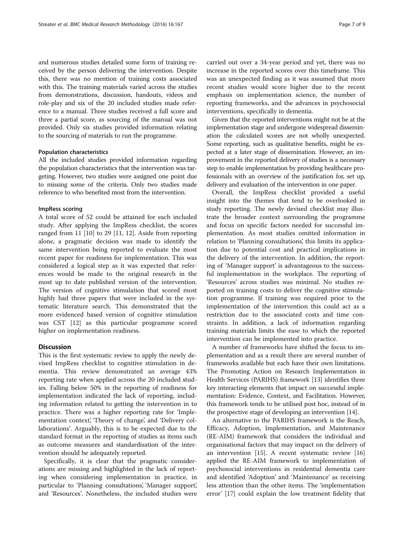and numerous studies detailed some form of training received by the person delivering the intervention. Despite this, there was no mention of training costs associated with this. The training materials varied across the studies from demonstrations, discussion, handouts, videos and role-play and six of the 20 included studies made reference to a manual. Three studies received a full score and three a partial score, as sourcing of the manual was not provided. Only six studies provided information relating to the sourcing of materials to run the programme.

## Population characteristics

All the included studies provided information regarding the population characteristics that the intervention was targeting. However, two studies were assigned one point due to missing some of the criteria. Only two studies made reference to who benefited most from the intervention.

#### ImpRess scoring

A total score of 52 could be attained for each included study. After applying the ImpRess checklist, the scores ranged from 11 [[10](#page-8-0)] to 29 [\[11](#page-8-0), [12](#page-8-0)]. Aside from reporting alone, a pragmatic decision was made to identify the same intervention being reported to evaluate the most recent paper for readiness for implementation. This was considered a logical step as it was expected that references would be made to the original research in the most up to date published version of the intervention. The version of cognitive stimulation that scored most highly had three papers that were included in the systematic literature search. This demonstrated that the more evidenced based version of cognitive stimulation was CST [[12\]](#page-8-0) as this particular programme scored higher on implementation readiness.

# **Discussion**

This is the first systematic review to apply the newly devised ImpRess checklist to cognitive stimulation in dementia. This review demonstrated an average 43% reporting rate when applied across the 20 included studies. Falling below 50% in the reporting of readiness for implementation indicated the lack of reporting, including information related to getting the intervention in to practice. There was a higher reporting rate for 'Implementation context', 'Theory of change', and 'Delivery collaborations'. Arguably, this is to be expected due to the standard format in the reporting of studies as items such as outcome measures and standardisation of the intervention should be adequately reported.

Specifically, it is clear that the pragmatic considerations are missing and highlighted in the lack of reporting when considering implementation in practice, in particular to 'Planning consultations', 'Manager support', and 'Resources'. Nonetheless, the included studies were

carried out over a 34-year period and yet, there was no increase in the reported scores over this timeframe. This was an unexpected finding as it was assumed that more recent studies would score higher due to the recent emphasis on implementation science, the number of reporting frameworks, and the advances in psychosocial interventions, specifically in dementia.

Given that the reported interventions might not be at the implementation stage and undergone widespread dissemination the calculated scores are not wholly unexpected. Some reporting, such as qualitative benefits, might be expected at a later stage of dissemination. However, an improvement in the reported delivery of studies is a necessary step to enable implementation by providing healthcare professionals with an overview of the justification for, set up, delivery and evaluation of the intervention in one paper.

Overall, the ImpRess checklist provided a useful insight into the themes that tend to be overlooked in study reporting. The newly devised checklist may illustrate the broader context surrounding the programme and focus on specific factors needed for successful implementation. As most studies omitted information in relation to 'Planning consultations', this limits its application due to potential cost and practical implications in the delivery of the intervention. In addition, the reporting of 'Manager support' is advantageous to the successful implementation in the workplace. The reporting of 'Resources' across studies was minimal. No studies reported on training costs to deliver the cognitive stimulation programme. If training was required prior to the implementation of the intervention this could act as a restriction due to the associated costs and time constraints. In addition, a lack of information regarding training materials limits the ease to which the reported intervention can be implemented into practice.

A number of frameworks have shifted the focus to implementation and as a result there are several number of frameworks available but each have their own limitations. The Promoting Action on Research Implementation in Health Services (PARIHS) framework [[13](#page-8-0)] identifies three key interacting elements that impact on successful implementation: Evidence, Context, and Facilitation. However, this framework tends to be utilised post hoc, instead of in the prospective stage of developing an intervention [\[14\]](#page-8-0).

An alternative to the PARIHS framework is the Reach, Efficacy, Adoption, Implementation, and Maintenance (RE-AIM) framework that considers the individual and organisational factors that may impact on the delivery of an intervention [[15\]](#page-8-0). A recent systematic review [[16](#page-8-0)] applied the RE-AIM framework to implementation of psychosocial interventions in residential dementia care and identified 'Adoption' and 'Maintenance' as receiving less attention than the other items. The 'implementation error' [[17](#page-8-0)] could explain the low treatment fidelity that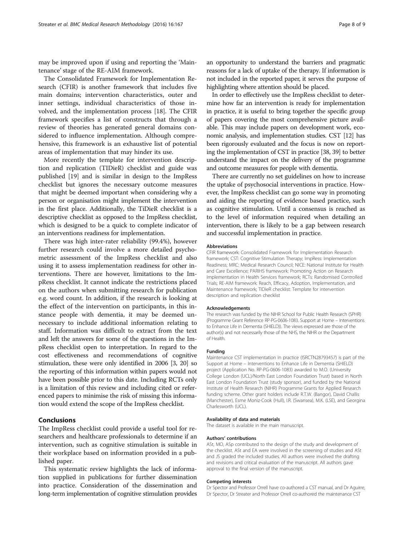may be improved upon if using and reporting the 'Maintenance' stage of the RE-AIM framework.

The Consolidated Framework for Implementation Research (CFIR) is another framework that includes five main domains; intervention characteristics, outer and inner settings, individual characteristics of those involved, and the implementation process [[18](#page-8-0)]. The CFIR framework specifies a list of constructs that through a review of theories has generated general domains considered to influence implementation. Although comprehensive, this framework is an exhaustive list of potential areas of implementation that may hinder its use.

More recently the template for intervention description and replication (TIDieR) checklist and guide was published [[19](#page-8-0)] and is similar in design to the ImpRess checklist but ignores the necessary outcome measures that might be deemed important when considering why a person or organisation might implement the intervention in the first place. Additionally, the TiDieR checklist is a descriptive checklist as opposed to the ImpRess checklist, which is designed to be a quick to complete indicator of an interventions readiness for implementation.

There was high inter-rater reliability (99.4%), however further research could involve a more detailed psychometric assessment of the ImpRess checklist and also using it to assess implementation readiness for other interventions. There are however, limitations to the ImpRess checklist. It cannot indicate the restrictions placed on the authors when submitting research for publication e.g. word count. In addition, if the research is looking at the effect of the intervention on participants, in this instance people with dementia, it may be deemed unnecessary to include additional information relating to staff. Information was difficult to extract from the text and left the answers for some of the questions in the ImpRess checklist open to interpretation. In regard to the cost effectiveness and recommendations of cognitive stimulation, these were only identified in 2006 [[3](#page-8-0), [20\]](#page-8-0) so the reporting of this information within papers would not have been possible prior to this date. Including RCTs only is a limitation of this review and including cited or referenced papers to minimise the risk of missing this information would extend the scope of the ImpRess checklist.

# Conclusions

The ImpRess checklist could provide a useful tool for researchers and healthcare professionals to determine if an intervention, such as cognitive stimulation is suitable in their workplace based on information provided in a published paper.

This systematic review highlights the lack of information supplied in publications for further dissemination into practice. Consideration of the dissemination and long-term implementation of cognitive stimulation provides

an opportunity to understand the barriers and pragmatic reasons for a lack of uptake of the therapy. If information is not included in the reported paper, it serves the purpose of highlighting where attention should be placed.

In order to effectively use the ImpRess checklist to determine how far an intervention is ready for implementation in practice, it is useful to bring together the specific group of papers covering the most comprehensive picture available. This may include papers on development work, economic analysis, and implementation studies. CST [\[12\]](#page-8-0) has been rigorously evaluated and the focus is now on reporting the implementation of CST in practice [\[38, 39\]](#page-8-0) to better understand the impact on the delivery of the programme and outcome measures for people with dementia.

There are currently no set guidelines on how to increase the uptake of psychosocial interventions in practice. However, the ImpRess checklist can go some way in promoting and aiding the reporting of evidence based practice, such as cognitive stimulation. Until a consensus is reached as to the level of information required when detailing an intervention, there is likely to be a gap between research and successful implementation in practice.

### Abbreviations

CFIR framework: Consolidated Framework for Implementation Research framework; CST: Cognitive Stimulation Therapy; ImpRess: Implementation Readiness; MRC: Medical Research Council; NICE: National Institute for Health and Care Excellence; PARIHS framework: Promoting Action on Research Implementation in Health Services framework; RCTs: Randomised Controlled Trials; RE-AIM framework: Reach, Efficacy, Adoption, Implementation, and Maintenance framework; TIDieR checklist: Template for intervention description and replication checklist

#### Acknowledgements

The research was funded by the NIHR School for Public Health Research (SPHR) (Programme Grant Reference RP-PG-0606-1083. Support at Home – Interventions to Enhance Life in Dementia (SHIELD)). The views expressed are those of the author(s) and not necessarily those of the NHS, the NIHR or the Department of Health.

#### Funding

Maintenance CST implementation in practice (ISRCTN28793457) is part of the Support at Home – Interventions to Enhance Life in Dementia (SHIELD) project (Application No. RP-PG-0606-1083) awarded to M.O. (University College London (UCL)/North East London Foundation Trust) based in North East London Foundation Trust (study sponsor), and funded by the National Institute of Health Research (NIHR) Programme Grants for Applied Research funding scheme. Other grant holders include R.T.W. (Bangor), David Challis (Manchester), Esme Moniz-Cook (Hull), I.R. (Swansea), M.K. (LSE), and Georgina Charlesworth (UCL).

#### Availability of data and materials

The dataset is available in the main manuscript.

#### Authors' contributions

ASt, MO, ASp contributed to the design of the study and development of the checklist. ASt and EA were involved in the screening of studies and ASt and JS graded the included studies. All authors were involved the drafting and revisions and critical evaluation of the manuscript. All authors gave approval to the final version of the manuscript.

#### Competing interests

Dr Spector and Professor Orrell have co-authored a CST manual, and Dr Aguirre, Dr Spector, Dr Streater and Professor Orrell co-authored the maintenance CST